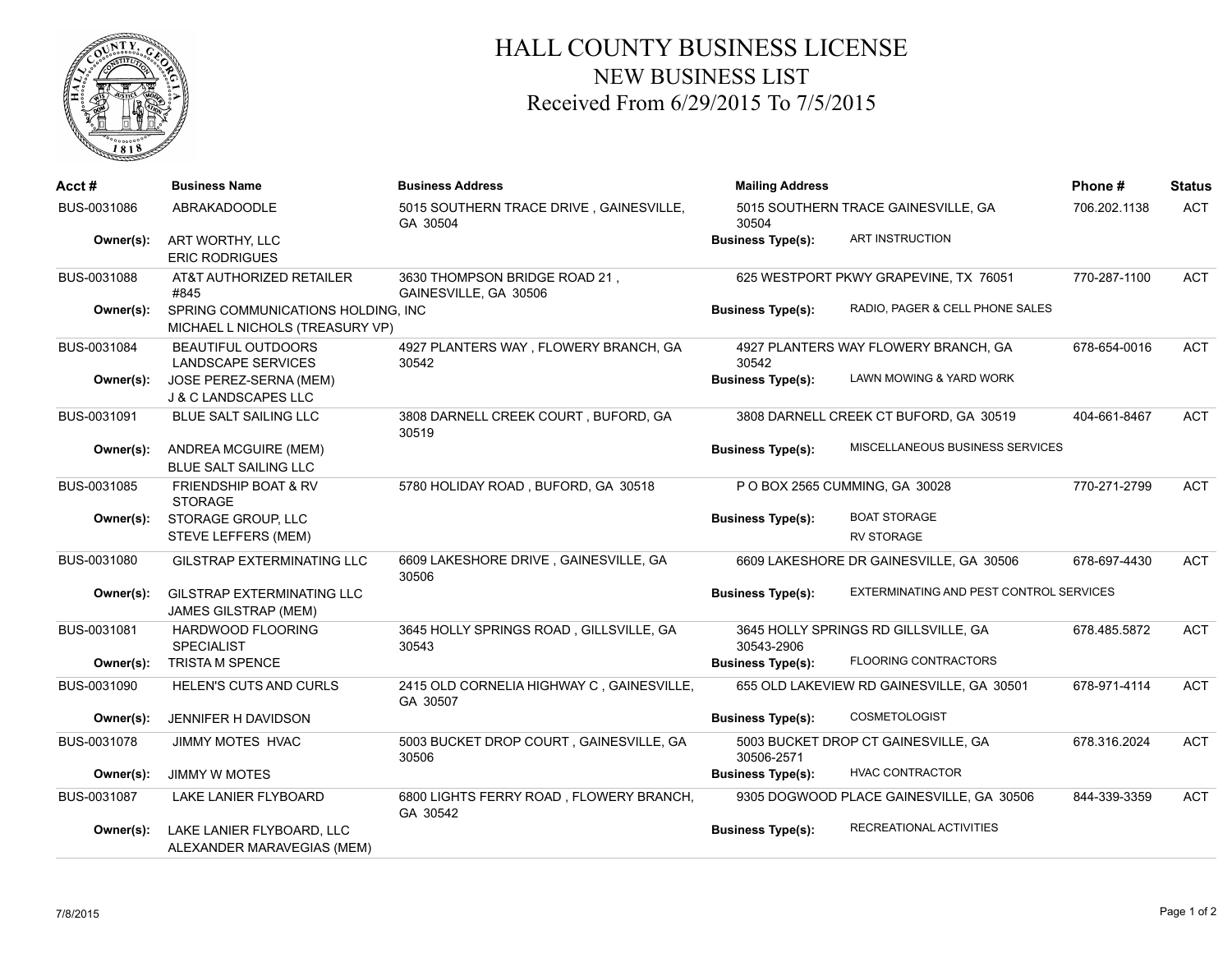

## HALL COUNTY BUSINESS LICENSE NEW BUSINESS LIST Received From 6/29/2015 To 7/5/2015

| Acct #      | <b>Business Name</b>                                                  | <b>Business Address</b>                                | <b>Mailing Address</b><br>5015 SOUTHERN TRACE GAINESVILLE, GA<br>30504 |                                           | Phone#       | <b>Status</b> |
|-------------|-----------------------------------------------------------------------|--------------------------------------------------------|------------------------------------------------------------------------|-------------------------------------------|--------------|---------------|
| BUS-0031086 | ABRAKADOODLE                                                          | 5015 SOUTHERN TRACE DRIVE, GAINESVILLE,<br>GA 30504    |                                                                        |                                           | 706.202.1138 | <b>ACT</b>    |
| Owner(s):   | ART WORTHY, LLC<br><b>ERIC RODRIGUES</b>                              |                                                        | <b>Business Type(s):</b>                                               | ART INSTRUCTION                           |              |               |
| BUS-0031088 | AT&T AUTHORIZED RETAILER<br>#845                                      | 3630 THOMPSON BRIDGE ROAD 21,<br>GAINESVILLE, GA 30506 | 625 WESTPORT PKWY GRAPEVINE, TX 76051                                  |                                           | 770-287-1100 | <b>ACT</b>    |
| Owner(s):   | SPRING COMMUNICATIONS HOLDING, INC<br>MICHAEL L NICHOLS (TREASURY VP) |                                                        | <b>Business Type(s):</b>                                               | RADIO, PAGER & CELL PHONE SALES           |              |               |
| BUS-0031084 | <b>BEAUTIFUL OUTDOORS</b><br><b>LANDSCAPE SERVICES</b>                | 4927 PLANTERS WAY, FLOWERY BRANCH, GA<br>30542         | 30542                                                                  | 4927 PLANTERS WAY FLOWERY BRANCH, GA      | 678-654-0016 | <b>ACT</b>    |
| Owner(s):   | JOSE PEREZ-SERNA (MEM)<br>J & C LANDSCAPES LLC                        |                                                        | <b>Business Type(s):</b>                                               | LAWN MOWING & YARD WORK                   |              |               |
| BUS-0031091 | <b>BLUE SALT SAILING LLC</b>                                          | 3808 DARNELL CREEK COURT, BUFORD, GA<br>30519          |                                                                        | 3808 DARNELL CREEK CT BUFORD, GA 30519    | 404-661-8467 | <b>ACT</b>    |
| Owner(s):   | ANDREA MCGUIRE (MEM)<br><b>BLUE SALT SAILING LLC</b>                  |                                                        | <b>Business Type(s):</b>                                               | MISCELLANEOUS BUSINESS SERVICES           |              |               |
| BUS-0031085 | <b>FRIENDSHIP BOAT &amp; RV</b><br><b>STORAGE</b>                     | 5780 HOLIDAY ROAD, BUFORD, GA 30518                    |                                                                        | P O BOX 2565 CUMMING, GA 30028            | 770-271-2799 | <b>ACT</b>    |
| Owner(s):   | STORAGE GROUP, LLC<br>STEVE LEFFERS (MEM)                             |                                                        | <b>Business Type(s):</b>                                               | <b>BOAT STORAGE</b><br><b>RV STORAGE</b>  |              |               |
| BUS-0031080 | <b>GILSTRAP EXTERMINATING LLC</b>                                     | 6609 LAKESHORE DRIVE, GAINESVILLE, GA<br>30506         |                                                                        | 6609 LAKESHORE DR GAINESVILLE, GA 30506   | 678-697-4430 | <b>ACT</b>    |
| Owner(s):   | <b>GILSTRAP EXTERMINATING LLC</b><br><b>JAMES GILSTRAP (MEM)</b>      |                                                        | <b>Business Type(s):</b>                                               | EXTERMINATING AND PEST CONTROL SERVICES   |              |               |
| BUS-0031081 | HARDWOOD FLOORING<br><b>SPECIALIST</b>                                | 3645 HOLLY SPRINGS ROAD, GILLSVILLE, GA<br>30543       | 30543-2906                                                             | 3645 HOLLY SPRINGS RD GILLSVILLE, GA      | 678.485.5872 | <b>ACT</b>    |
| Owner(s):   | <b>TRISTA M SPENCE</b>                                                |                                                        | <b>Business Type(s):</b>                                               | <b>FLOORING CONTRACTORS</b>               |              |               |
| BUS-0031090 | <b>HELEN'S CUTS AND CURLS</b>                                         | 2415 OLD CORNELIA HIGHWAY C, GAINESVILLE,<br>GA 30507  |                                                                        | 655 OLD LAKEVIEW RD GAINESVILLE, GA 30501 | 678-971-4114 | <b>ACT</b>    |
| Owner(s):   | JENNIFER H DAVIDSON                                                   |                                                        | <b>Business Type(s):</b>                                               | <b>COSMETOLOGIST</b>                      |              |               |
| BUS-0031078 | <b>JIMMY MOTES HVAC</b>                                               | 5003 BUCKET DROP COURT, GAINESVILLE, GA<br>30506       | 30506-2571                                                             | 5003 BUCKET DROP CT GAINESVILLE, GA       | 678.316.2024 | <b>ACT</b>    |
| Owner(s):   | <b>JIMMY W MOTES</b>                                                  |                                                        | <b>Business Type(s):</b>                                               | <b>HVAC CONTRACTOR</b>                    |              |               |
| BUS-0031087 | LAKE LANIER FLYBOARD                                                  | 6800 LIGHTS FERRY ROAD, FLOWERY BRANCH,<br>GA 30542    |                                                                        | 9305 DOGWOOD PLACE GAINESVILLE, GA 30506  | 844-339-3359 | <b>ACT</b>    |
| Owner(s):   | LAKE LANIER FLYBOARD, LLC<br>ALEXANDER MARAVEGIAS (MEM)               |                                                        | <b>Business Type(s):</b>                                               | RECREATIONAL ACTIVITIES                   |              |               |